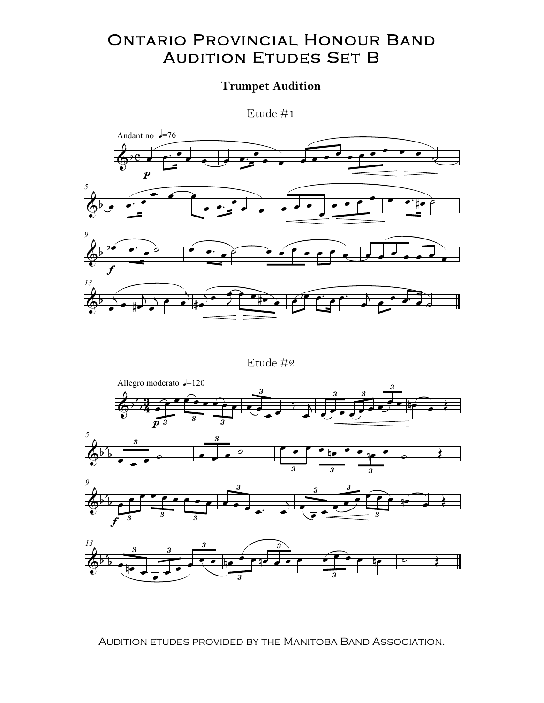## **ONTARIO PROVINCIAL HONOUR BAND AUDITION ETUDES SET B**

## **Trumpet Audition**

Etude  $#1$ 



Etude  $\#2$ 



AUDITION ETUDES PROVIDED BY THE MANITOBA BAND ASSOCIATION.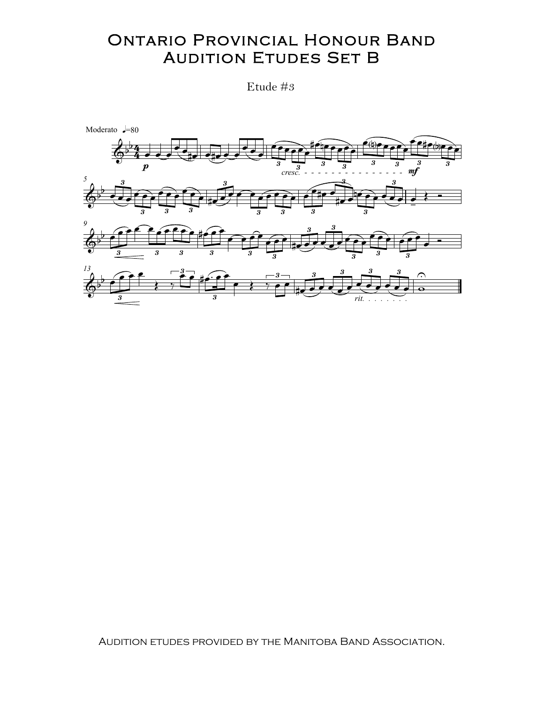## **ONTARIO PROVINCIAL HONOUR BAND AUDITION ETUDES SET B**

Etude #3



AUDITION ETUDES PROVIDED BY THE MANITOBA BAND ASSOCIATION.